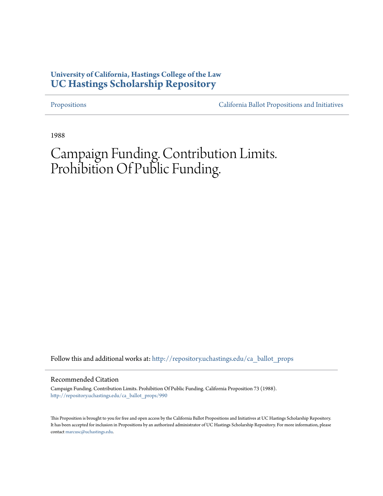# **University of California, Hastings College of the Law [UC Hastings Scholarship Repository](http://repository.uchastings.edu?utm_source=repository.uchastings.edu%2Fca_ballot_props%2F990&utm_medium=PDF&utm_campaign=PDFCoverPages)**

[Propositions](http://repository.uchastings.edu/ca_ballot_props?utm_source=repository.uchastings.edu%2Fca_ballot_props%2F990&utm_medium=PDF&utm_campaign=PDFCoverPages) [California Ballot Propositions and Initiatives](http://repository.uchastings.edu/ca_ballots?utm_source=repository.uchastings.edu%2Fca_ballot_props%2F990&utm_medium=PDF&utm_campaign=PDFCoverPages)

1988

# Campaign Funding. Contribution Limits. Prohibition Of Public Funding.

Follow this and additional works at: [http://repository.uchastings.edu/ca\\_ballot\\_props](http://repository.uchastings.edu/ca_ballot_props?utm_source=repository.uchastings.edu%2Fca_ballot_props%2F990&utm_medium=PDF&utm_campaign=PDFCoverPages)

# Recommended Citation

Campaign Funding. Contribution Limits. Prohibition Of Public Funding. California Proposition 73 (1988). [http://repository.uchastings.edu/ca\\_ballot\\_props/990](http://repository.uchastings.edu/ca_ballot_props/990?utm_source=repository.uchastings.edu%2Fca_ballot_props%2F990&utm_medium=PDF&utm_campaign=PDFCoverPages)

This Proposition is brought to you for free and open access by the California Ballot Propositions and Initiatives at UC Hastings Scholarship Repository. It has been accepted for inclusion in Propositions by an authorized administrator of UC Hastings Scholarship Repository. For more information, please contact [marcusc@uchastings.edu](mailto:marcusc@uchastings.edu).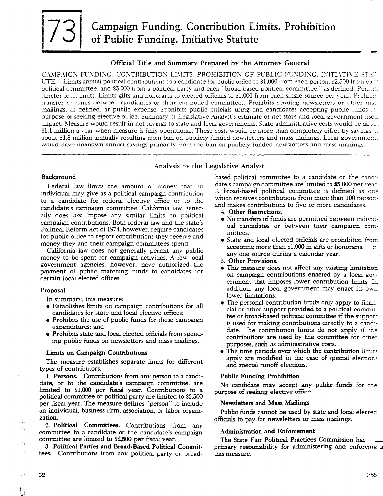# Official Title and Summary Prepared by the Attorney General

CAMPAIGN FUNDING. CONTRIBUTION LIMITS. PROHIBITION OF PUBLIC FUNDING. INITIATIVE STAT-UTE. Limits annual political contributions to a candidate for public office to \$1,000 from each person, \$2,500 from each political committee, and \$5,000 from a political party and each "broad based political committee," as defined. Permitt stricter local limits. Limits gifts and honoraria to elected officials to \$1,000 from each single source per vear. Prohibits transfer of funds between candidates or their controlled committees. Prohibits sending newsletters or other mass mailings, as defined, at public expense. Prohibits public officials using and candidates accepting public funds for purpose of seeking elective office. Summary of Legislative Analyst's estimate of net state and local government fiscal impact: Measure would result in net savings to state and local governments. State administrative costs would be about 81.1 million a vear when measure is fully operational. These costs would be more than completely offset by sayings  $\approx$ about \$1.8 million annually resulting from ban on publicly funded newsletters and mass mailings. Local governments would have unknown annual savings primarily from the ban on publicly funded newsletters and mass mailings.

# Analysis by the Legislative Analyst

# Background

Federal law limits the amount of money that an individual mav give as a political campaign contribution to a candidate for federal elective office or to the candidate's campaign committee. California law generally does not impose any similar limits on political campaign contributions. Both federal law and the state's Political Reform Act of 1974, however, require candidates for public office to report contributions they receive and money they and their campaign committees spend.

California law does not generally permit any public money to be spent for campaign activities. A few local government agencies, however, have authorized the payment of public matching funds to candidates for certain local elected offices.

### Proposal

In summary, this measure:

- Establishes limits on campaign contributions for all candidates for state and local elective offices:
- Prohibits the use of public funds for these campaign expenditures; and
- Prohibits state and local elected officials from spending public funds on newsletters and mass mailings.

### **Limits on Campaign Contributions**

The measure establishes separate limits for different types of contributors.

1. Persons. Contributions from any person to a candidate, or to the candidate's campaign committee. are limited to \$1,000 per fiscal year. Contributions to a political committee or political party are limited to \$2.500 per fiscal year. The measure defines "person" to include an individual, business firm, association, or labor organization.

2. Political Committees. Contributions from any committee to a candidate or the candidate's campaign committee are limited to \$2,500 per fiscal year.

3. Political Parties and Broad-Based Political Committees. Contributions from any political party or broadbased political committee to a candidate or the candidate's campaign committee are limited to \$5,000 per vear. A broad-based political committee is defined as one which receives contributions from more than 100 persons and makes contributions to five or more candidates.

- 4. Other Restrictions.
- No transfers of funds are permitted between individual candidates or between their campaign committees.
- State and local elected officials are prohibited  $\hat{r}$  om accepting more than \$1,000 in gifts or honoraria any one source during a calendar year.
- 5. Other Provisions.
- This measure does not affect any existing limitation on campaign contributions enacted by a local government that imposes lower contribution limits. In addition, any local government may enact its own lower limitations.
- The personal contribution limits only apply to financial or other support provided to a political committee or broad-based political committee if the support is used for making contributions directly to a candidate. The contribution limits do not apply if the contributions are used by the committee for other purposes, such as administrative costs.
- The time periods over which the contribution limits apply are modified in the case of special elections and special runoff elections.

# **Public Funding Prohibition**

No candidate may accept any public funds for the purpose of seeking elective office.

# **Newsletters and Mass Mailings**

Public funds cannot be used by state and local elected officials to pay for newsletters or mass mailings.

# **Administration and Enforcement**

The State Fair Political Practices Commission has primary responsibility for administering and enforcing this measure.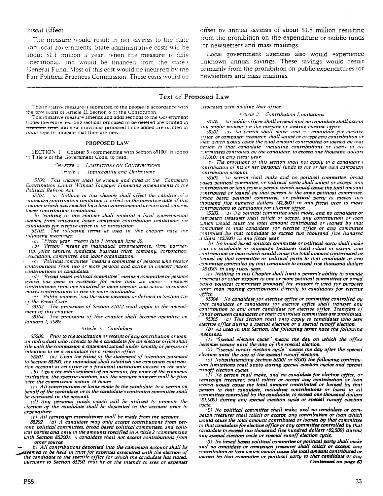# **Fiscal Effect**

The measure would result in net sayings to the state and local governments. State administrative costs will be about \$1.1 million a vear, when the measure is fully perational, and would be financed from the state's General Fund. Most of this cost would be incurred by the Fair Political Practices Commission. These costs would be

This initiative measure is submitted to the people in accordance with the provisions or Article II, Section 8 of the Constitution.

This initiative measure amends and adds sections to the Government Code: therefore, existing sections proposed to be defeted are printed in trineout type and new provisions proposed to be added are printed in *ualic tupe* to indicate that they are new.

#### PROPOSED LAW

SECTION 1. Chapter 5 (commencing with Section 85100) is added to Title 9 of the Government Code, to read:

CHAPTER 5. LIMITATIONS ON CONTRIBUTIONS

Article 1. Applicability and Definitions

5100. This chapter shall be known and cited as the "Campaign Contribution Limits Without Taxpayer Financing Amenaments to the Political Reform Act."

a) Nothing in this chapter shall affect the validity of a 95101 campaign contribution limitation in effect on the operative date of this chapter which was enacted by a local governmental agency and imposes lower contribution limitations.

b) Nothing in this chapter shall prohibit a local governmental agency from imposing lower campaign contribution limitations for candidates for elective office in its jurisdiction.

55102. The following terms as used in this chapter have the following meanings:

(a) "Fiscal year" means July 1 through June 30.

(b) "Person" means an individual proprietorship. firm. partnerup, joint venture, sundicate, business trust, company, corporation. .ssociation, committee, and labor organization.

(c) "Political committee" means a committee of persons who receive contributions from two or more persons and acting in concert makes contributions to canaidates.

(d) "Broad based political committee" means a committee of persons which has been in existence for more than six months. receives contributions from one hundred or more persons, and acting in concert makes contributions to five or more candidates.<br> $\left\{e\right\}$  "Public moneus" has the same meaning as defined in Section 426

of the Penal Code.

85103. The provisions of Section 81012 shall apply to the amenament of this chapter.

85104. The provisions of this chapter shall become operative on January 1, 1989.

#### Article 2. Candidacy

85200. Prior to the solicitation or receipt of any contribution or loan. an individual who intends to be a candidate for an elective office shall file with the commission a statement signed under penalty of perjury of intention to be a canaidate for a specific office.<br>85201. (a) Upon the filing of the statement of intention pursuant

to Section 85200, the individual shall establish one campaign contribution account at an office of a financial institution located in the state.

 $(b)$  Upon the establishment of an account, the name of the financial institution, the specific location, and the account number shall be filed with the commission within 24 hours.

 $(c)$  All contributions or loans made to the candidate, to a person on behalf of the candidate, or to the candidate's controlled committee shall be deposited in the account.

 $(d)$  Any personal funds which will be utilized to promote the election of the candidate shall be deposited in the account prior to expenditure.

(e) All campaign expenditures shall be made from the account.

85202. (a) A candidate may only accept contributions from persons, political committees, broad based political committees, and political parties and only in the amounts specified in Article 3 (commencing with Section 85300). A candidate shall not accept contributions from other source.

b) All contributions deposited into the campaign account shall be deemed to be held in trust for expenses associated with the election of the candidate to the specific office for which the candidate has stated. pursuant to Section 85200. that he or she intends to seek or expenses orfset by annual savings of about \$1.8 million resulting from the prohibition on the expenditure or public funds for newsletters and mass mailings.

Local government agencies also would experience unknown annual savings. These savings would result primarily from the prohibition on public expenditures for newsietters and mass mailings.

# Text of Proposed Law

issociated with holding that office.

Article 3. Contribution Limitations

35300. No public officer shall expend and no candidate shall accept any public moneus for the purpose of seeking elective office.

 $S301.$  (a) No person shall make, and  $\infty$  candidate for elective office, or campaign treasurer, shall solicit or accept any contribution or loan which would cause the total amount contributed or loaned by that person to that candidate, including contributions or loans to all committees controlled by the candidate, to exceed one thousand dollars S1.000) in any fiscal year.

 $b$ . The provisions of this section shall not apply to a candidate  $s$ contribution of his or ner personal funds to his or her own campaign contribution account.

No person shall make and no political committee, broad 55302. based political committee, or political party shall solicit or accept, any contribution or loan from a person which would cause the total amount contributed or loaned by that person to the same political committee.  $b$ road based political committee, or political party to exceed two thousand five hundred dollars (\$2.500) in any fiscal year to make contributions to candidates for elective office.

\$5303. (a) No pointcal committee shall make, and no candidate or campaign treasurer shall solicit or accept, any contribution or toan which would cause the total amount contributed or loaned by that committee to that candidate for elective office or any committee controlled by that candidate to exceed two thousand five hundred dollars (\$2,500) in any fiscal year.

(b) No broad based political committee or political party shall make and no candidate or campaign treasurer shall solicit or accept, any contribution or loan which would cause the total amount contributed or loaned by that committee or political party to that candidate or any committee controlled by that candidate to exceed five thousand dollars : S5,000) in any fiscal year.

 $(c)$  Nothing in this Chapter shall limit a person's ability to provide financial or other support to one or more political committees or broad vased political committees provided the support is used for purposes other than making contributions directly to candidates for elective office.

S5304. No candidate for elective office or committee controlled by that candidate or candidates for elective office shall transfer any contribution to any other candidate for elective office. Transfers of funds between candidates or their controlled committees are prohibited.

85305. (a) This Section shall only apply to candidates who seek elective office during a special election or a special runoff election.

(b) As used in this Section, the following terms have the following meanings.

 $(1)$  "Special election cycle" means the day on which the office becomes vacant until the day of the special election.

(2) "Special runoff election cycle" means the day after the special election until the day of the special runoff election.<br>(c) Notwithstanding Section 85301 or 85303 the following contribu-

tion limitations shall apply during special election cycles and special runoff election cycles.

 $(i)$  No person shall make, and no candidate for elective office, or campaign treasurer, shall solicit or accept any contribution or loan which would cause the total amount contributed or loaned by that person to that candidate, including contributions or loans to all committees controlled by the candidate, to exceed one thousand dollars (\$1,000) during any special election cycle or special runoff election cycle.

(2) No political committee shall make, and no candidate or campaign treasurer shall solicit or accept, any contribution or loan which would cause the total amount contributed or loaned by that committee to that candidate for elective office or any committee controlled by that candidate to exceed two thousand five hundred dollars (\$2,500) during any special election cucle or special runoff election cycle.

(3) No broad based political committee or political party shall make and no candidate or campaign treasurer shall solicit or accept, any contribution or loan which would cause the total amount contributed or loaned by that committee or political party to that candidate or any Continued on page 63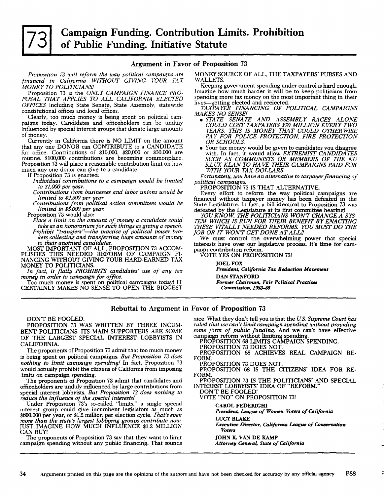# **Campaign Funding. Contribution Limits. Prohibition** of Public Funding. Initiative Statute

## Argument in Favor of Proposition 73

Proposition 73 will reform the way political campaigns are financed in California WITHOUT GIVING YOUR TAX MONEY TO POLITICIANS!

Proposition 73 is the ONLY CAMPAIGN FINANCE PRO-POSAL THAT APPLIES TO ALL CALIFORNIA ELECTED OFFICES including State Senate, State Assembly, statewide constitutional offices and local offices.

Clearly, too much money is being spent on political campaigns today. Candidates and officeholders can be unduly influenced by special interest groups that donate large amounts of money.

Currently in California there is NO LIMIT on the amount that any one DONOR can CONTRIBUTE to a CANDIDATE for office. Contributions of \$10,000, \$20,000 or \$30,000 are routine. \$100,000 contributions are becoming commonplace. Proposition 73 will place a reasonable contribution limit on how much any one donor can give to a candidate.

If Proposition 73 is enacted:

Individual contributions to a campaign would be limited to  $$1,000$  per year.

Contributions from businesses and labor unions would be<br>limited to  $$2,500$  per year.

Contributions from political action committees would be limited to \$5,000 per year.

Proposition 73 would also:

Place a limit on the amount of money a candidate could take as an honorarium for such things as giving a speech. Prohibit "transfers"—the practice of political power brokers collecting and transferring huge amounts of money

to their anointed candidates.<br>MOST IMPORTANT OF ALL, PROPOSITION 73 ACCOMPLISHES THIS NEEDED REFORM OF CAMPAIGN FINANCING WITHOUT GIVING YOUR HARD-EARNED TAX MONEY TO POLITICIANS

In fact, it flatly PROHIBITS candidates' use of any tax money in order to campaign for office.

Too much money is spent on political campaigns today! IT<br>CERTAINLY MAKES NO SENSE TO OPEN THE BIGGEST

MONEY SOURCE OF ALL, THE TAXPAYERS' PURSES AND WALLETS.

Keeping government spending under control is hard enough. Imagine how much harder it will be to keep politicians from spending more tax money on the most important thing in their lives-getting elected and reelected.

TAXPAYER FINANCING OF POLITICAL CAMPAIGNS

- MAKES NO SENSE!<br>
 STATE SENATE AND ASSEMBLY RACES ALONE<br>
COULD COST TAXPAYERS \$70 MILLION EVERY TWO YEARS. THIS IS MONEY THAT COULD OTHERWISE PAY FOR POLICE PROTECTION, FIRE PROTECTION OR SCHOOLS.
	- Your tax money would be given to candidates you disagree with. In fact, it would allow EXTREMIST CANDIDATES<br>SUCH AS COMMUNISTS OR MEMBERS OF THE KU<br>KLUX KLAN TO HAVE THEIR CAMPAIGNS PAID FOR<br>WITH YOUR TAX DOLLARS.

Fortunately, you have an alternative to taxpayer financing of political campaigns.

PROPOSITION 73 IS THAT ALTERNATIVE.

Every effort to reform the way political campaigns are financed without taxpayer money has been defeated in the State Legislature. In fact, a bill identical to Proposition 73 was

defeated by the Legislature at its first committee hearing!<br>YOU KNOW. THE POLITICIANS WON'T CHANGE A SYSTEM WHICH IS RUN FOR THEIR BENEFIT BY ENACTING<br>THESE VITALLY NEEDED REFORMS. YOU MUST DO THE **JOB OR IT WONT GET DONE AT ALL!!** 

We must control the overwhelming power that special interests have over our legislative process. It's time for campaign contribution reform.

**VOTE YES ON PROPOSITION 73!** 

**IOEL FOX** President, California Tax Reduction Movement **DAN STANFORD** Former Chairman, Fair Political Practices Commission, 1983-85

# Rebuttal to Argument in Favor of Proposition 73

### DON'T BE FOOLED.

PROPOSITION 73 WAS WRITTEN BY THREE INCUM-BENT POLITICIANS. ITS MAIN SUPPORTERS ARE SOME OF THE LARGEST SPECIAL INTEREST LOBBYISTS IN CALIFORNIA.

The proponents of Proposition 73 admit that too much money is being spent on political campaigns. But Proposition 73 does nothing to limit campaign spending! In fact, Proposition 73 would actually prohibit the citizens of California from imposing limits on campaign spending.

The proponents of Proposition 73 admit that candidates and officeholders are unduly influenced by large contributions from special interest lobbyists. But Proposition 73 does nothing to reduce the influence of the special interests!<br>Under Proposition 73's so-called "limits," a single special

interest group could give incumbent legislators as much as \$600,000 per year, or \$1.2 million per election cycle. That's even more than the state's largest lobbying groups contribute now.<br>JUST IMAGINE HOW MUCH INFLUENCE \$1.2 MILLION CAN BUY!

The proponents of Proposition 73 say that they want to limit campaign spending without any public financing. That sounds

nice. What they don't tell you is that the U.S. Supreme Court has ruled that we can't limit campaign spending without providing some form of public funding. And we can't have effective campaign reform without limiting spending.

PROPOSITION 68 LIMITS CAMPAIGN SPENDING.

PROPOSITION 73 DOES NOT.

PROPOSITION 68 ACHIEVES REAL CAMPAIGN RE-FORM.

PROPOSITION 73 DOES NOT.

PROPOSITION 68 IS THE CITIZENS' IDEA FOR RE-FORM.

PROPOSITION 73 IS THE POLITICIANS' AND SPECIAL INTEREST LOBBYISTS' IDEA OF "REFORM."<br>DON'T BE FOOLED!<br>VOTE "NO" ON PROPOSITION 73!

**CAROL FEDERIGHI** 

President, League of Women Voters of California **LUCY BLAKE** 

Executive Director, California League of Conservation Voters

**JOHN K. VAN DE KAMP** 

Attorney General, State of California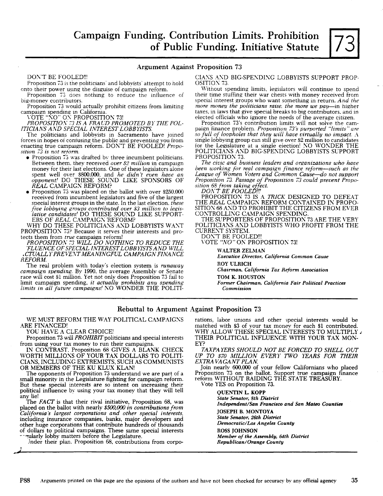# Argument Against Proposition 73

DON'T BE FOOLED!!!

Proposition 73 is the politicians' and lobbyists' attempt to hold onto their power using the disguise of campaign reform.

Proposition 73 does nothing to reduce the influence of big-monev contributors.

Proposition 73 would actually prohibit citizens from limiting campaign spending in California.<br>VOTE "NO" ON PROPOSITION 73!

*PROPOSITW.\'* 7:3 *IS A FRAUD PROMOTED BY THE POL-ITICIANS* Al\D *SPECIAL INTEREST LOBBYISTS.* 

The politicians and lobbyists in Sacramento have joined forces in hopes of confusing the public and preventing you from enacting true campaign reform. DON'T BE FOOLED! *Proposition 73 is not reform.* 

- Proposition 73 was drafted by three incumbent politicians. Between them. they received *over* \$2 *million* in campaign money for their last elections. One of these legislators alone spent well over 8800.000, and *he didn't even have an opponent!* DO THESE SOUND LIKE SPONSORS OF REAL CAMPAIGN REFORM?
- Proposition 73 was placed on the ballot with over \$250,000 received from incumbent legislators and five of the largest special interest groups in the state. In the last election. *these five lobbying groups contributed over \$3 million to legis--lative candidates!* DO THESE SOUND LIKE SUPPORT-ERS OF *REAL* CAMPAIGN REFORM?

WHY DO THESE POLITICIANS AND LOBBYISTS WANT PROPOSITION 73? Because it serves their interests and protects them from *true* campaign reform!

*PROPOSITWA'* 7:3 *WILL DO NOTHING TO REDUCE THE FLUENCE OF SPECIAL INTEREST LOBBYISTS AND WILL .CTUALLY PREVE:\'T MEANINGFUL CAMPAIGN FINANCE REFORM.* 

The real problem with today's election system is *runaway*  race will cost 81 million. Yet not only does Proposition 73 fail to limit campaign spending, *it actually prohibits any spending limits in all future campaigns!* 1\0 WONDER THE POLITI-

CIANS AND BIG-SPENDING LOBBYISTS SUPPORT PROP-OSITION 73.

Without spending limits, legislators will continue to spend their time stuffing their war chests with money received from special interest groups who want somethmg in return. *And the more money the poLiticians raise. the more we pay-in* higher taxes, in laws that give special breaks to big contributors. and in

elected officials who ignore the needs of the average citizen.<br>Proposition 73's contribution limits will not solve the campaign finance problem. *Proposition 73's purported "limits" are so full of loopholes that they will have virtually no impact.* A single lobbying group can still give over \$2 million to candidates<br>for the Legislature at a single election! NO WONDER THE POLITICIANS AND BIG-SPENDING LOBBYISTS SUPPORT PROPOSITION 73.<br>*The civic and business leaders and organizations who have* 

*been working for real campaign finance reform-such as the*  League of Women Voters and Common Cause-do not support *Proposition* 73. *Passage of Proposition* 73 *could prevent Proposition* 68 *from takinR effect.* 

*DON'T BE FOOLED!!!* 

PROPOSITION 73 IS A *TRICK* DESIGNED TO DEFEAT THE REAL CAMPAIGN REFORM CONTAINED IN PROPO-SITION 68 AND TO PROHIBIT THE CITIZENS FROM EVER CONTROLLING CAMPAIGN SPENDING.

THE SUPPORTERS OF PROPOSITION 73 ARE THE VERY POLITICIANS AND LOBBYISTS WHO PROFIT FROM THE CURRENT SYSTEM.

DON'T BE FOOLED!!!

VOTE "NO" ON PROPOSITION 73!

WALTER ZELMAN

*Executive Director, California Common Cause*  ROY ULRICH

*Chairman, California Tax Reform Association* 

TOM K. HOUSTON

*Former Chairman, California Fair Political Practices Commission* 

# Rebuttal to Argument Against Proposition 73

WE MUST REFORM THE WAY POLITICAL CAMPAIGNS rations, labor unions and other special interests would be<br>matched with \$3 of your tax money for each \$1 contributed.

J --

from using your tax money to run their campaigns.<br>IN CONTRAST, Proposition 68 GIVES A BLANK CHECK IN CONTRAST. Proposition 68 GIVES A BLANK CHECK *TAXPA YERS SHOULD NOT BE FORCED TO SHELL OUT*  CIANS, INCLUDING EXTREMISTS, SUCH AS COMMUNISTS<br>OR MEMBERS OF THE KU KLUX KLAN!

The opponents of Proposition 73 understand we are part of a<br>small minority in the Legislature fighting for campaign reform. reform WITHOUT RAIDING<br>But these special interests are so intent on increasing their Vote YES on P But these special interests are so intent on increasing their political influence by using your tax money that they will tell **QUENTIN L. KOPP** any lie! State Senator, 8th Di

The *FACT* is that their rival initiative, Proposition 68, was *Independent/San Francisco and San Mateo Counties* placed on the ballot with nearly \$500,000 in contributions from The Independent, sun Francisco<br>California's largest corporations and other special interests, **JOSEPH B, MONTOYA**<br>including insurance companies, banks, major including insurance companies, banks, major developers and *State Senator, 26th District*  other huge corporations that contribute hundreds of thousands *Democratic/Los angeles Caunty of dollars* to political campaigns. These same special interests

Jnder their plan. Proposition 68, contributions from corpo-

RE FINANCED! matched with \$3 of your tax money for each \$1 contributed.<br> WHY ALLOW THESE SPECIAL INTERESTS TO MULTIPLY YOU HAVE A CLEAR CHOICE! WHY ALLOW THESE SPECIAL INTERESTS TO MULTIPLY J<br>Proposition 73 will PROHIBIT politicians and special interests THEIR POLITICAL INFLUENCE WITH YOUR TAX MON-THEIR POLITICAL INFLUENCE WITH YOUR TAX MON-<br>EYP

WP TO \$70 MILLION EVERY TWO YEARS FOR THEIR EXTRAVAGANT PLAN.

OR MEMBERS OF THE KU KLUX KLAN! Join nearly 600.000 of your fellow Californians who placed The opponents of Proposition 73 understand we are part of a Proposition 73 on the ballot. Support true campaign finance

**State Senator, 8th District** of dollars to political campaigns. These same special interests ROSS JOHNSON ---,<br> *Alter district* and a member of the Assembly, 64th District *Member of the Assembly, 64th District*<br> *Member of the Assembly, 64th Distric*